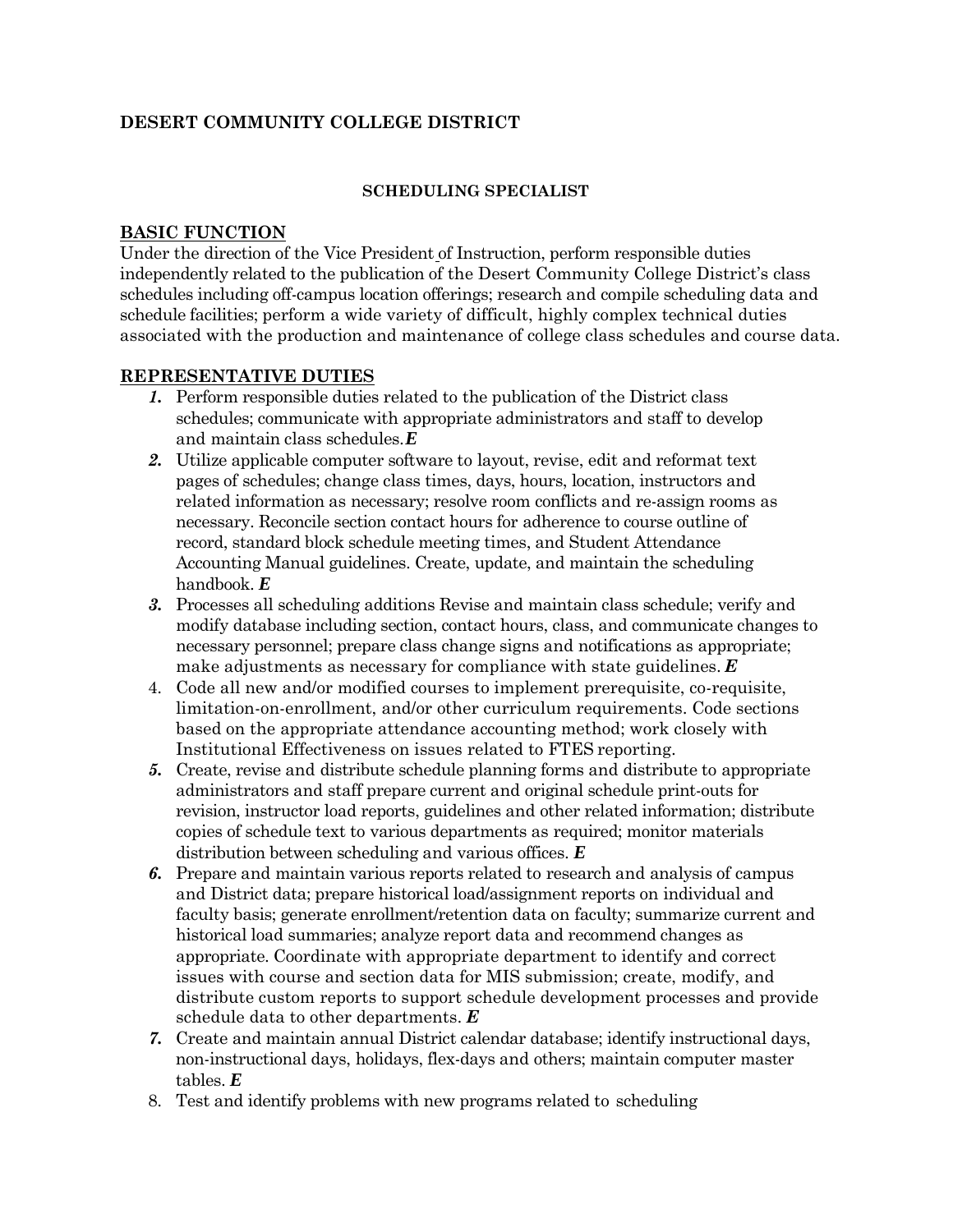### **DESERT COMMUNITY COLLEGE DISTRICT**

#### **SCHEDULING SPECIALIST**

#### **BASIC FUNCTION**

Under the direction of the Vice President of Instruction, perform responsible duties independently related to the publication of the Desert Community College District's class schedules including off-campus location offerings; research and compile scheduling data and schedule facilities; perform a wide variety of difficult, highly complex technical duties associated with the production and maintenance of college class schedules and course data.

### **REPRESENTATIVE DUTIES**

- *1.* Perform responsible duties related to the publication of the District class schedules; communicate with appropriate administrators and staff to develop and maintain class schedules.*E*
- *2.* Utilize applicable computer software to layout, revise, edit and reformat text pages of schedules; change class times, days, hours, location, instructors and related information as necessary; resolve room conflicts and re-assign rooms as necessary. Reconcile section contact hours for adherence to course outline of record, standard block schedule meeting times, and Student Attendance Accounting Manual guidelines. Create, update, and maintain the scheduling handbook. *E*
- *3.* Processes all scheduling additions Revise and maintain class schedule; verify and modify database including section, contact hours, class, and communicate changes to necessary personnel; prepare class change signs and notifications as appropriate; make adjustments as necessary for compliance with state guidelines. *E*
- 4. Code all new and/or modified courses to implement prerequisite, co-requisite, limitation-on-enrollment, and/or other curriculum requirements. Code sections based on the appropriate attendance accounting method; work closely with Institutional Effectiveness on issues related to FTES reporting.
- *5.* Create, revise and distribute schedule planning forms and distribute to appropriate administrators and staff prepare current and original schedule print-outs for revision, instructor load reports, guidelines and other related information; distribute copies of schedule text to various departments as required; monitor materials distribution between scheduling and various offices. *E*
- *6.* Prepare and maintain various reports related to research and analysis of campus and District data; prepare historical load/assignment reports on individual and faculty basis; generate enrollment/retention data on faculty; summarize current and historical load summaries; analyze report data and recommend changes as appropriate. Coordinate with appropriate department to identify and correct issues with course and section data for MIS submission; create, modify, and distribute custom reports to support schedule development processes and provide schedule data to other departments. *E*
- *7.* Create and maintain annual District calendar database; identify instructional days, non-instructional days, holidays, flex-days and others; maintain computer master tables. *E*
- 8. Test and identify problems with new programs related to scheduling